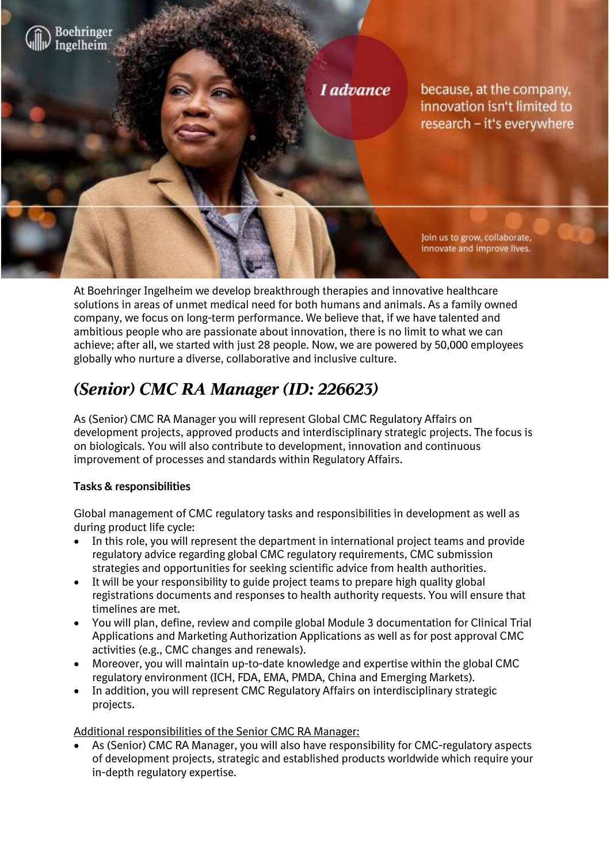

At Boehringer Ingelheim we develop breakthrough therapies and innovative healthcare solutions in areas of unmet medical need for both humans and animals. As a family owned company, we focus on long-term performance. We believe that, if we have talented and ambitious people who are passionate about innovation, there is no limit to what we can achieve; after all, we started with just 28 people. Now, we are powered by 50,000 employees globally who nurture a diverse, collaborative and inclusive culture.

# *(Senior) CMC RA Manager (ID: 226623)*

As (Senior) CMC RA Manager you will represent Global CMC Regulatory Affairs on development projects, approved products and interdisciplinary strategic projects. The focus is on biologicals. You will also contribute to development, innovation and continuous improvement of processes and standards within Regulatory Affairs.

# **Tasks & responsibilities**

Global management of CMC regulatory tasks and responsibilities in development as well as during product life cycle:

- In this role, you will represent the department in international project teams and provide regulatory advice regarding global CMC regulatory requirements, CMC submission strategies and opportunities for seeking scientific advice from health authorities.
- It will be your responsibility to guide project teams to prepare high quality global registrations documents and responses to health authority requests. You will ensure that timelines are met.
- You will plan, define, review and compile global Module 3 documentation for Clinical Trial Applications and Marketing Authorization Applications as well as for post approval CMC activities (e.g., CMC changes and renewals).
- Moreover, you will maintain up-to-date knowledge and expertise within the global CMC regulatory environment (ICH, FDA, EMA, PMDA, China and Emerging Markets).
- In addition, you will represent CMC Regulatory Affairs on interdisciplinary strategic projects.

Additional responsibilities of the Senior CMC RA Manager:

• As (Senior) CMC RA Manager, you will also have responsibility for CMC-regulatory aspects of development projects, strategic and established products worldwide which require your in-depth regulatory expertise.